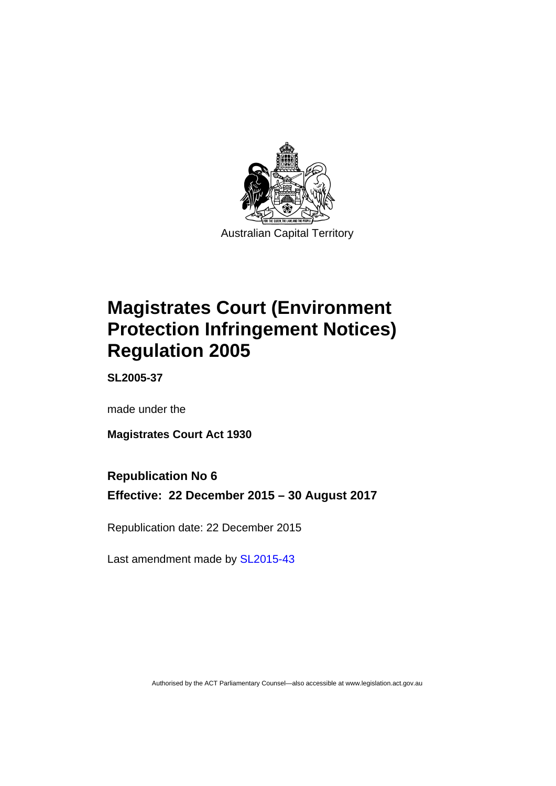

# **Magistrates Court (Environment Protection Infringement Notices) Regulation 2005**

**SL2005-37** 

made under the

**Magistrates Court Act 1930** 

# **Republication No 6**

**Effective: 22 December 2015 – 30 August 2017** 

Republication date: 22 December 2015

Last amendment made by [SL2015-43](http://www.legislation.act.gov.au/sl/2015-43)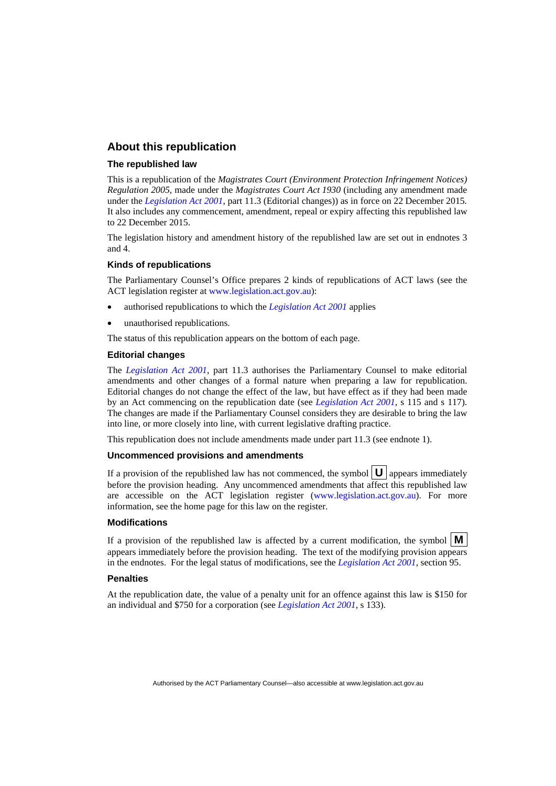### **About this republication**

### **The republished law**

This is a republication of the *Magistrates Court (Environment Protection Infringement Notices) Regulation 2005*, made under the *Magistrates Court Act 1930* (including any amendment made under the *[Legislation Act 2001](http://www.legislation.act.gov.au/a/2001-14)*, part 11.3 (Editorial changes)) as in force on 22 December 2015*.*  It also includes any commencement, amendment, repeal or expiry affecting this republished law to 22 December 2015.

The legislation history and amendment history of the republished law are set out in endnotes 3 and 4.

### **Kinds of republications**

The Parliamentary Counsel's Office prepares 2 kinds of republications of ACT laws (see the ACT legislation register at [www.legislation.act.gov.au](http://www.legislation.act.gov.au/)):

- authorised republications to which the *[Legislation Act 2001](http://www.legislation.act.gov.au/a/2001-14)* applies
- unauthorised republications.

The status of this republication appears on the bottom of each page.

#### **Editorial changes**

The *[Legislation Act 2001](http://www.legislation.act.gov.au/a/2001-14)*, part 11.3 authorises the Parliamentary Counsel to make editorial amendments and other changes of a formal nature when preparing a law for republication. Editorial changes do not change the effect of the law, but have effect as if they had been made by an Act commencing on the republication date (see *[Legislation Act 2001](http://www.legislation.act.gov.au/a/2001-14)*, s 115 and s 117). The changes are made if the Parliamentary Counsel considers they are desirable to bring the law into line, or more closely into line, with current legislative drafting practice.

This republication does not include amendments made under part 11.3 (see endnote 1).

### **Uncommenced provisions and amendments**

If a provision of the republished law has not commenced, the symbol  $\mathbf{U}$  appears immediately before the provision heading. Any uncommenced amendments that affect this republished law are accessible on the ACT legislation register [\(www.legislation.act.gov.au\)](http://www.legislation.act.gov.au/). For more information, see the home page for this law on the register.

#### **Modifications**

If a provision of the republished law is affected by a current modification, the symbol  $\mathbf{M}$ appears immediately before the provision heading. The text of the modifying provision appears in the endnotes. For the legal status of modifications, see the *[Legislation Act 2001](http://www.legislation.act.gov.au/a/2001-14)*, section 95.

### **Penalties**

At the republication date, the value of a penalty unit for an offence against this law is \$150 for an individual and \$750 for a corporation (see *[Legislation Act 2001](http://www.legislation.act.gov.au/a/2001-14)*, s 133).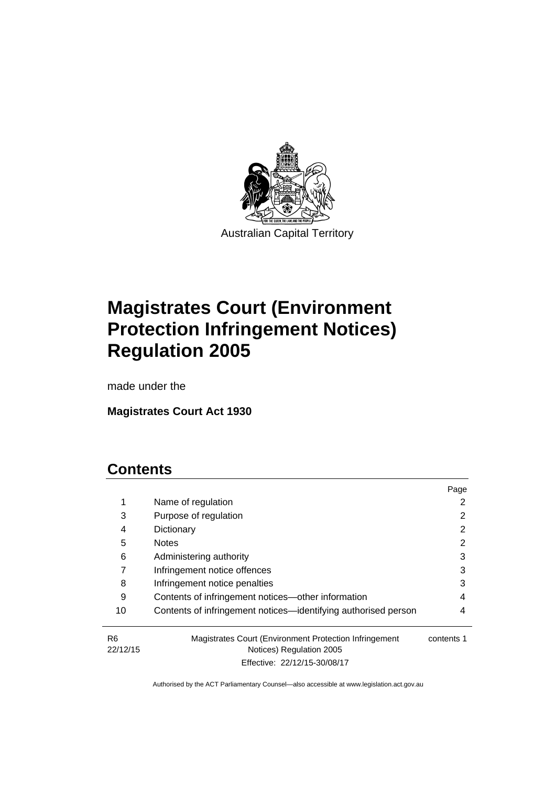

# **Magistrates Court (Environment Protection Infringement Notices) Regulation 2005**

made under the

**Magistrates Court Act 1930** 

# **Contents**

|                            |                                                                                    | Page       |
|----------------------------|------------------------------------------------------------------------------------|------------|
| $\mathbf 1$                | Name of regulation                                                                 |            |
| 3                          | Purpose of regulation                                                              |            |
| 4                          | Dictionary                                                                         | 2          |
| 5                          | <b>Notes</b>                                                                       | 2          |
| 6                          | Administering authority                                                            | 3          |
|                            | Infringement notice offences                                                       | 3          |
| 8                          | Infringement notice penalties                                                      | 3          |
| 9                          | Contents of infringement notices—other information                                 | 4          |
| 10                         | Contents of infringement notices—identifying authorised person                     | 4          |
| R <sub>6</sub><br>22/12/15 | Magistrates Court (Environment Protection Infringement<br>Notices) Regulation 2005 | contents 1 |

Effective: 22/12/15-30/08/17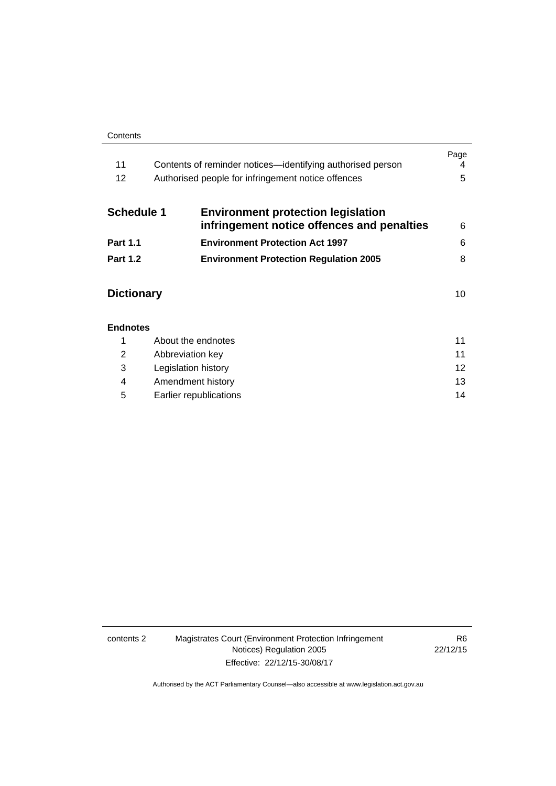#### **Contents**

| 11<br>12          | Contents of reminder notices—identifying authorised person<br>Authorised people for infringement notice offences | Page<br>4<br>5 |
|-------------------|------------------------------------------------------------------------------------------------------------------|----------------|
| <b>Schedule 1</b> | <b>Environment protection legislation</b><br>infringement notice offences and penalties                          | 6              |
| <b>Part 1.1</b>   | <b>Environment Protection Act 1997</b>                                                                           | 6              |
| <b>Part 1.2</b>   | <b>Environment Protection Regulation 2005</b>                                                                    | 8              |
| <b>Dictionary</b> |                                                                                                                  | 10             |
| <b>Endnotes</b>   |                                                                                                                  |                |
| 1                 | About the endnotes                                                                                               | 11             |
| 2                 | Abbreviation key                                                                                                 | 11             |

| Legislation history    |    |
|------------------------|----|
| Amendment history      | 13 |
| Earlier republications | 14 |

### contents 2 Magistrates Court (Environment Protection Infringement Notices) Regulation 2005 Effective: 22/12/15-30/08/17

R6 22/12/15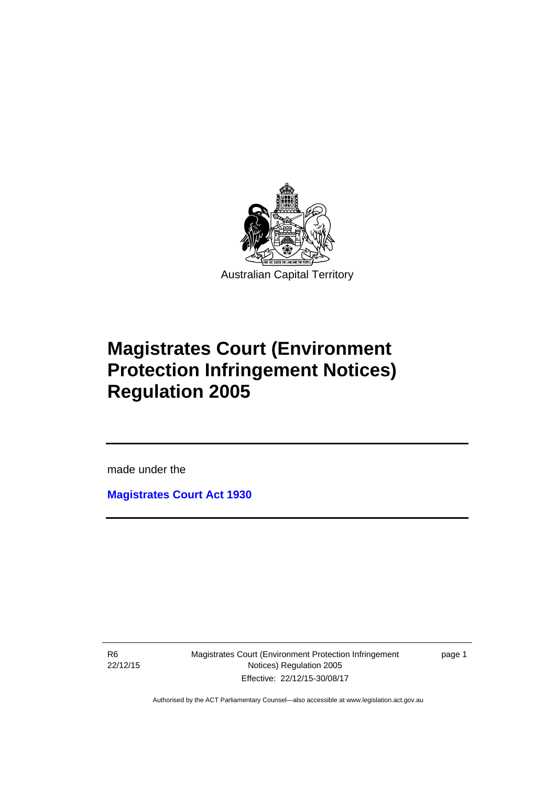

# **Magistrates Court (Environment Protection Infringement Notices) Regulation 2005**

made under the

**[Magistrates Court Act 1930](http://www.legislation.act.gov.au/a/1930-21)**

R6 22/12/15

l

Magistrates Court (Environment Protection Infringement Notices) Regulation 2005 Effective: 22/12/15-30/08/17

page 1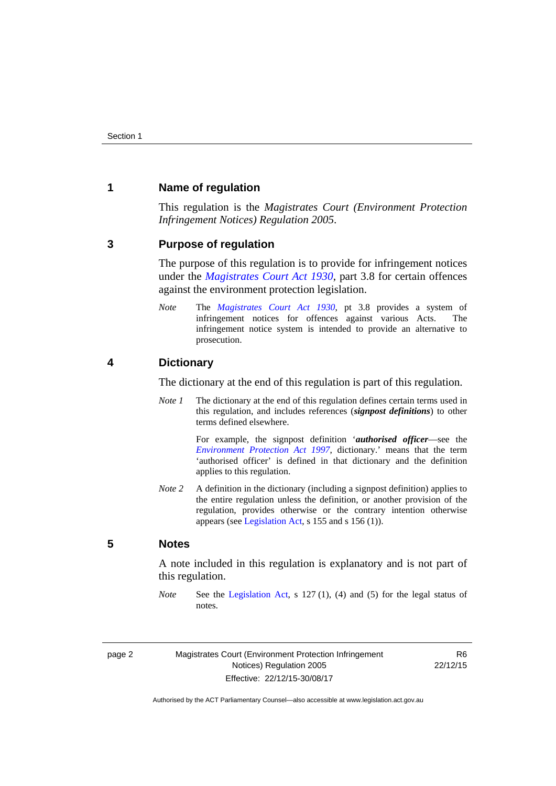### <span id="page-5-0"></span>**1 Name of regulation**

This regulation is the *Magistrates Court (Environment Protection Infringement Notices) Regulation 2005*.

### <span id="page-5-1"></span>**3 Purpose of regulation**

The purpose of this regulation is to provide for infringement notices under the *[Magistrates Court Act 1930](http://www.legislation.act.gov.au/a/1930-21)*, part 3.8 for certain offences against the environment protection legislation.

*Note* The *[Magistrates Court Act 1930](http://www.legislation.act.gov.au/a/1930-21)*, pt 3.8 provides a system of infringement notices for offences against various Acts. The infringement notice system is intended to provide an alternative to prosecution.

### <span id="page-5-2"></span>**4 Dictionary**

The dictionary at the end of this regulation is part of this regulation.

*Note 1* The dictionary at the end of this regulation defines certain terms used in this regulation, and includes references (*signpost definitions*) to other terms defined elsewhere.

> For example, the signpost definition '*authorised officer*—see the *[Environment Protection Act 1997](http://www.legislation.act.gov.au/a/1997-92)*, dictionary.' means that the term 'authorised officer' is defined in that dictionary and the definition applies to this regulation.

*Note 2* A definition in the dictionary (including a signpost definition) applies to the entire regulation unless the definition, or another provision of the regulation, provides otherwise or the contrary intention otherwise appears (see [Legislation Act,](http://www.legislation.act.gov.au/a/2001-14) s 155 and s 156 (1)).

### <span id="page-5-3"></span>**5 Notes**

A note included in this regulation is explanatory and is not part of this regulation.

*Note* See the [Legislation Act,](http://www.legislation.act.gov.au/a/2001-14) s 127 (1), (4) and (5) for the legal status of notes.

R6 22/12/15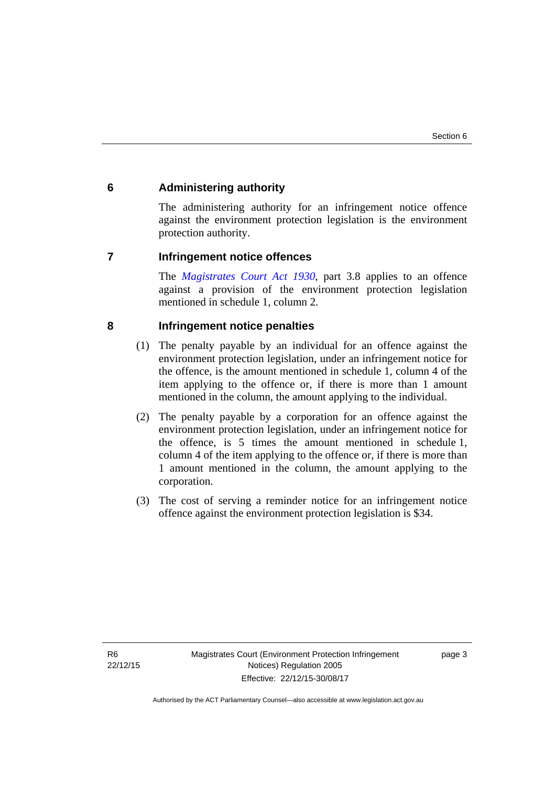## <span id="page-6-0"></span>**6 Administering authority**

The administering authority for an infringement notice offence against the environment protection legislation is the environment protection authority.

### <span id="page-6-1"></span>**7 Infringement notice offences**

The *[Magistrates Court Act 1930](http://www.legislation.act.gov.au/a/1930-21)*, part 3.8 applies to an offence against a provision of the environment protection legislation mentioned in schedule 1, column 2.

## <span id="page-6-2"></span>**8 Infringement notice penalties**

- (1) The penalty payable by an individual for an offence against the environment protection legislation, under an infringement notice for the offence, is the amount mentioned in schedule 1, column 4 of the item applying to the offence or, if there is more than 1 amount mentioned in the column, the amount applying to the individual.
- (2) The penalty payable by a corporation for an offence against the environment protection legislation, under an infringement notice for the offence, is 5 times the amount mentioned in schedule 1, column 4 of the item applying to the offence or, if there is more than 1 amount mentioned in the column, the amount applying to the corporation.
- (3) The cost of serving a reminder notice for an infringement notice offence against the environment protection legislation is \$34.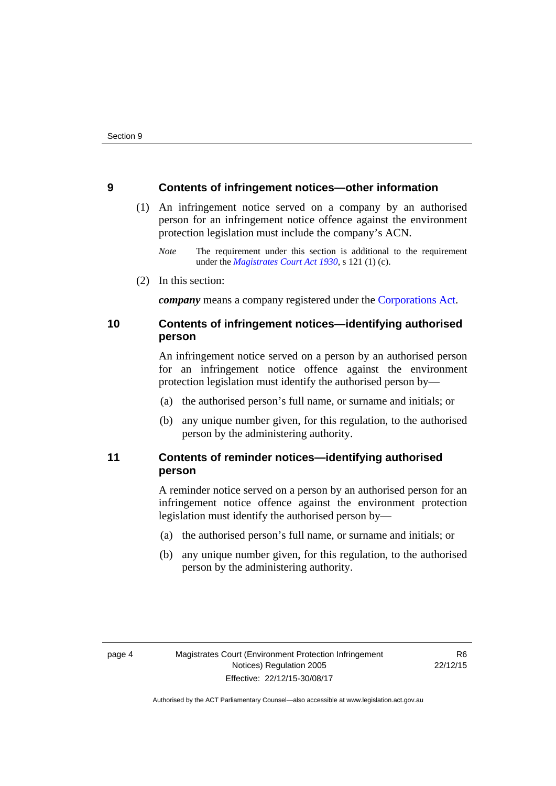### <span id="page-7-0"></span>**9 Contents of infringement notices—other information**

- (1) An infringement notice served on a company by an authorised person for an infringement notice offence against the environment protection legislation must include the company's ACN.
	- *Note* The requirement under this section is additional to the requirement under the *[Magistrates Court Act 1930](http://www.legislation.act.gov.au/a/1930-21)*, s 121 (1) (c).
- (2) In this section:

*company* means a company registered under the [Corporations Act.](http://www.comlaw.gov.au/Series/C2004A00818)

# <span id="page-7-1"></span>**10 Contents of infringement notices—identifying authorised person**

An infringement notice served on a person by an authorised person for an infringement notice offence against the environment protection legislation must identify the authorised person by—

- (a) the authorised person's full name, or surname and initials; or
- (b) any unique number given, for this regulation, to the authorised person by the administering authority.

# <span id="page-7-2"></span>**11 Contents of reminder notices—identifying authorised person**

A reminder notice served on a person by an authorised person for an infringement notice offence against the environment protection legislation must identify the authorised person by—

- (a) the authorised person's full name, or surname and initials; or
- (b) any unique number given, for this regulation, to the authorised person by the administering authority.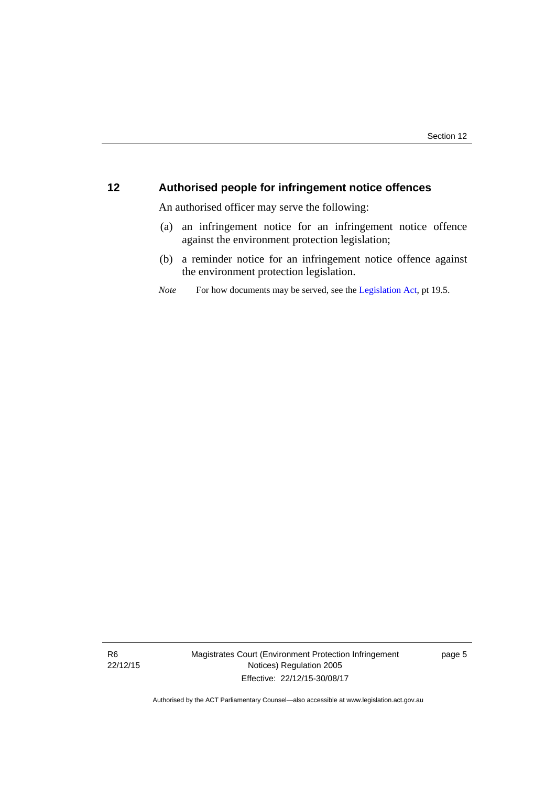# <span id="page-8-0"></span>**12 Authorised people for infringement notice offences**

An authorised officer may serve the following:

- (a) an infringement notice for an infringement notice offence against the environment protection legislation;
- (b) a reminder notice for an infringement notice offence against the environment protection legislation.
- *Note* For how documents may be served, see the [Legislation Act,](http://www.legislation.act.gov.au/a/2001-14) pt 19.5.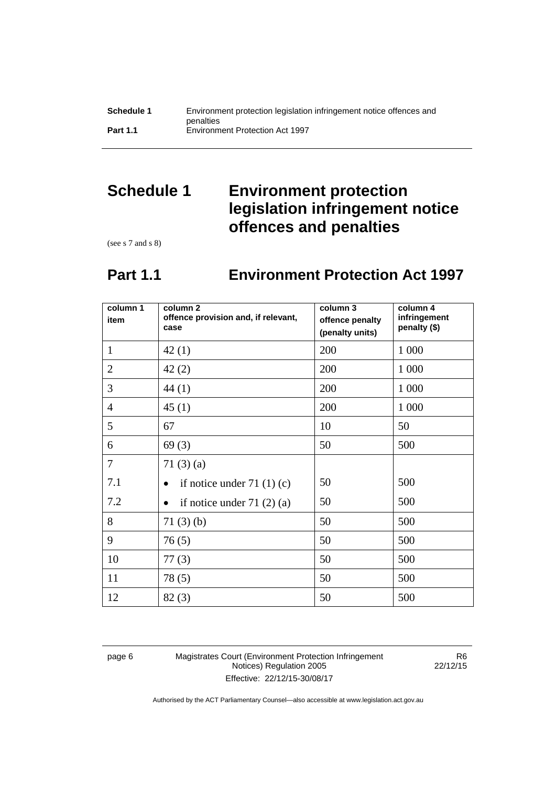# <span id="page-9-0"></span>**Schedule 1 Environment protection legislation infringement notice offences and penalties**

(see s 7 and s 8)

# **Part 1.1 Environment Protection Act 1997**

<span id="page-9-1"></span>

| column 1<br>item | column <sub>2</sub><br>offence provision and, if relevant,<br>case | column 3<br>offence penalty<br>(penalty units) | column 4<br>infringement<br>penalty (\$) |
|------------------|--------------------------------------------------------------------|------------------------------------------------|------------------------------------------|
| $\mathbf{1}$     | 42(1)                                                              | 200                                            | 1 0 0 0                                  |
| $\overline{2}$   | 42(2)                                                              | 200                                            | 1 0 0 0                                  |
| 3                | 44(1)                                                              | 200                                            | 1 0 0 0                                  |
| $\overline{4}$   | 45(1)                                                              | 200                                            | 1 0 0 0                                  |
| 5                | 67                                                                 | 10                                             | 50                                       |
| 6                | 69(3)                                                              | 50                                             | 500                                      |
| $\overline{7}$   | 71 $(3)(a)$                                                        |                                                |                                          |
| 7.1              | if notice under $71(1)(c)$                                         | 50                                             | 500                                      |
| 7.2              | if notice under $71(2)(a)$                                         | 50                                             | 500                                      |
| 8                | 71(3)(b)                                                           | 50                                             | 500                                      |
| 9                | 76(5)                                                              | 50                                             | 500                                      |
| 10               | 77(3)                                                              | 50                                             | 500                                      |
| 11               | 78(5)                                                              | 50                                             | 500                                      |
| 12               | 82(3)                                                              | 50                                             | 500                                      |

page 6 Magistrates Court (Environment Protection Infringement Notices) Regulation 2005 Effective: 22/12/15-30/08/17

R6 22/12/15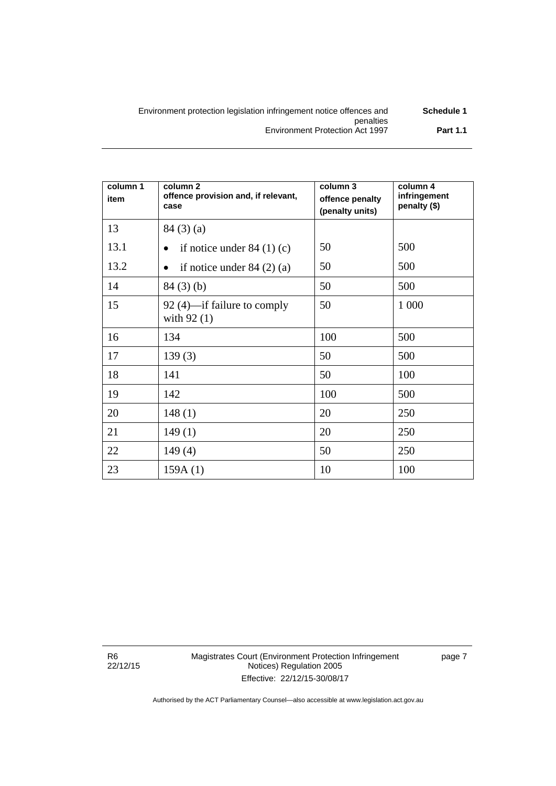| Environment protection legislation infringement notice offences and | Schedule 1      |
|---------------------------------------------------------------------|-----------------|
| penalties                                                           |                 |
| Environment Protection Act 1997                                     | <b>Part 1.1</b> |

| column 1<br>item | column <sub>2</sub><br>offence provision and, if relevant,<br>case | column 3<br>offence penalty<br>(penalty units) | column 4<br>infringement<br>penalty (\$) |
|------------------|--------------------------------------------------------------------|------------------------------------------------|------------------------------------------|
| 13               | 84(3)(a)                                                           |                                                |                                          |
| 13.1             | if notice under $84(1)(c)$                                         | 50                                             | 500                                      |
| 13.2             | if notice under $84(2)(a)$<br>$\bullet$                            | 50                                             | 500                                      |
| 14               | 84(3)(b)                                                           | 50                                             | 500                                      |
| 15               | 92 (4)—if failure to comply<br>with $92(1)$                        | 50                                             | 1 000                                    |
| 16               | 134                                                                | 100                                            | 500                                      |
| 17               | 139(3)                                                             | 50                                             | 500                                      |
| 18               | 141                                                                | 50                                             | 100                                      |
| 19               | 142                                                                | 100                                            | 500                                      |
| 20               | 148(1)                                                             | 20                                             | 250                                      |
| 21               | 149(1)                                                             | 20                                             | 250                                      |
| 22               | 149(4)                                                             | 50                                             | 250                                      |
| 23               | 159A(1)                                                            | 10                                             | 100                                      |

R6 22/12/15 Magistrates Court (Environment Protection Infringement Notices) Regulation 2005 Effective: 22/12/15-30/08/17

page 7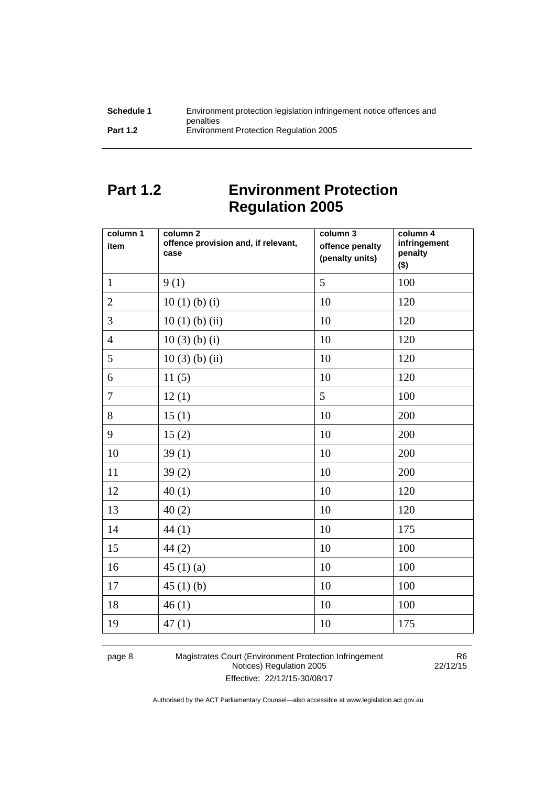| Schedule 1      | Environment protection legislation infringement notice offences and |
|-----------------|---------------------------------------------------------------------|
|                 | penalties                                                           |
| <b>Part 1.2</b> | <b>Environment Protection Regulation 2005</b>                       |

# <span id="page-11-0"></span>**Part 1.2 Environment Protection Regulation 2005**

| column 1<br>item | column 2<br>offence provision and, if relevant,<br>case | column 3<br>offence penalty<br>(penalty units) | column 4<br>infringement<br>penalty<br>$($ \$) |
|------------------|---------------------------------------------------------|------------------------------------------------|------------------------------------------------|
| $\mathbf{1}$     | 9(1)                                                    | 5                                              | 100                                            |
| $\overline{2}$   | 10(1)(b)(i)                                             | 10                                             | 120                                            |
| $\overline{3}$   | $10(1)$ (b) (ii)                                        | 10                                             | 120                                            |
| $\overline{4}$   | $10(3)$ (b) (i)                                         | 10                                             | 120                                            |
| 5                | $10(3)$ (b) (ii)                                        | 10                                             | 120                                            |
| 6                | 11(5)                                                   | 10                                             | 120                                            |
| $\overline{7}$   | 12(1)                                                   | 5                                              | 100                                            |
| 8                | 15(1)                                                   | 10                                             | 200                                            |
| 9                | 15(2)                                                   | 10                                             | 200                                            |
| 10               | 39(1)                                                   | 10                                             | 200                                            |
| 11               | 39(2)                                                   | 10                                             | 200                                            |
| 12               | 40(1)                                                   | 10                                             | 120                                            |
| 13               | 40(2)                                                   | 10                                             | 120                                            |
| 14               | 44(1)                                                   | 10                                             | 175                                            |
| 15               | 44(2)                                                   | 10                                             | 100                                            |
| 16               | 45 $(1)(a)$                                             | 10                                             | 100                                            |
| 17               | 45(1)(b)                                                | 10                                             | 100                                            |
| 18               | 46(1)                                                   | 10                                             | 100                                            |
| 19               | 47(1)                                                   | 10                                             | 175                                            |

page 8 Magistrates Court (Environment Protection Infringement Notices) Regulation 2005 Effective: 22/12/15-30/08/17

R6 22/12/15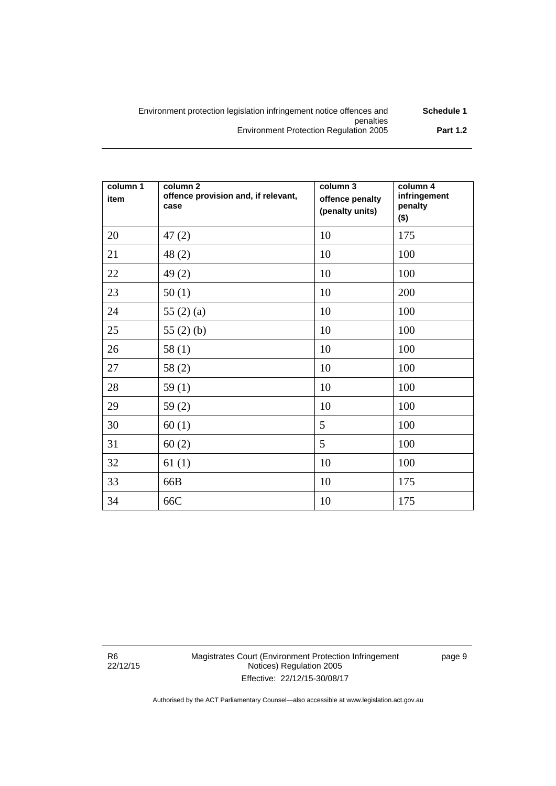| Schedule 1      | Environment protection legislation infringement notice offences and |
|-----------------|---------------------------------------------------------------------|
|                 | penalties                                                           |
| <b>Part 1.2</b> | <b>Environment Protection Regulation 2005</b>                       |

| column 1<br>item | column <sub>2</sub><br>offence provision and, if relevant,<br>case | column 3<br>offence penalty<br>(penalty units) | column 4<br>infringement<br>penalty<br>$($ \$) |
|------------------|--------------------------------------------------------------------|------------------------------------------------|------------------------------------------------|
| 20               | 47(2)                                                              | 10                                             | 175                                            |
| 21               | 48(2)                                                              | 10                                             | 100                                            |
| 22               | 49(2)                                                              | 10                                             | 100                                            |
| 23               | 50(1)                                                              | 10                                             | 200                                            |
| 24               | 55 $(2)$ $(a)$                                                     | 10                                             | 100                                            |
| 25               | 55 $(2)$ $(b)$                                                     | 10                                             | 100                                            |
| 26               | 58(1)                                                              | 10                                             | 100                                            |
| 27               | 58(2)                                                              | 10                                             | 100                                            |
| 28               | 59(1)                                                              | 10                                             | 100                                            |
| 29               | 59(2)                                                              | 10                                             | 100                                            |
| 30               | 60(1)                                                              | 5                                              | 100                                            |
| 31               | 60(2)                                                              | 5                                              | 100                                            |
| 32               | 61(1)                                                              | 10                                             | 100                                            |
| 33               | 66B                                                                | 10                                             | 175                                            |
| 34               | 66C                                                                | 10                                             | 175                                            |

R6 22/12/15 page 9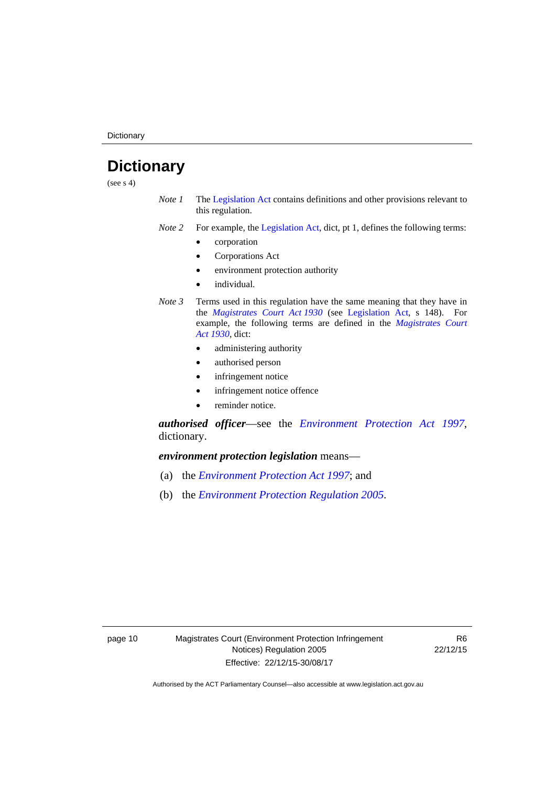**Dictionary** 

# <span id="page-13-0"></span>**Dictionary**

(see  $s$  4)

- *Note 1* The [Legislation Act](http://www.legislation.act.gov.au/a/2001-14) contains definitions and other provisions relevant to this regulation.
- *Note 2* For example, the [Legislation Act,](http://www.legislation.act.gov.au/a/2001-14) dict, pt 1, defines the following terms:
	- corporation
	- Corporations Act
	- environment protection authority
	- individual.
- *Note 3* Terms used in this regulation have the same meaning that they have in the *[Magistrates Court Act 1930](http://www.legislation.act.gov.au/a/1930-21)* (see [Legislation Act](http://www.legislation.act.gov.au/a/2001-14), s 148). For example, the following terms are defined in the *[Magistrates Court](http://www.legislation.act.gov.au/a/1930-21)  [Act 1930](http://www.legislation.act.gov.au/a/1930-21)*, dict:
	- administering authority
	- authorised person
	- infringement notice
	- infringement notice offence
	- reminder notice.

*authorised officer*—see the *[Environment Protection Act 1997](http://www.legislation.act.gov.au/a/1997-92)*, dictionary.

*environment protection legislation* means—

- (a) the *[Environment Protection Act 1997](http://www.legislation.act.gov.au/a/1997-92)*; and
- (b) the *[Environment Protection Regulation 2005](http://www.legislation.act.gov.au/sl/2005-38)*.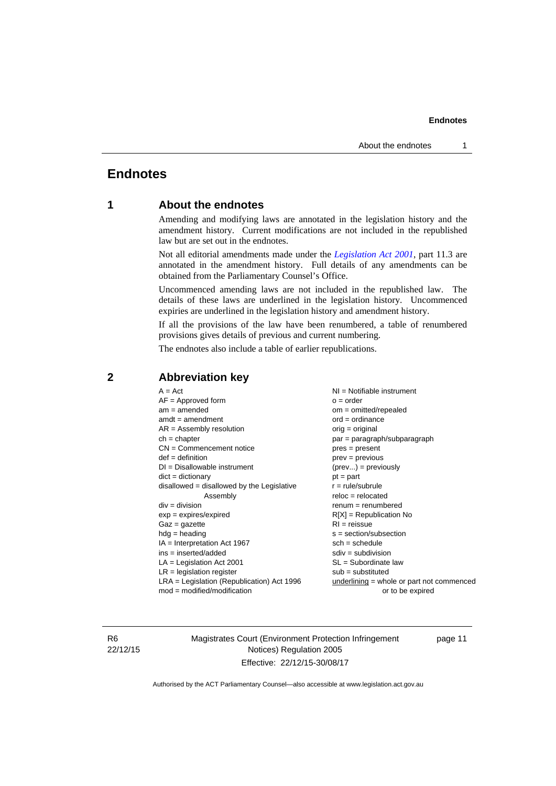# <span id="page-14-0"></span>**Endnotes**

## **1 About the endnotes**

Amending and modifying laws are annotated in the legislation history and the amendment history. Current modifications are not included in the republished law but are set out in the endnotes.

Not all editorial amendments made under the *[Legislation Act 2001](http://www.legislation.act.gov.au/a/2001-14)*, part 11.3 are annotated in the amendment history. Full details of any amendments can be obtained from the Parliamentary Counsel's Office.

Uncommenced amending laws are not included in the republished law. The details of these laws are underlined in the legislation history. Uncommenced expiries are underlined in the legislation history and amendment history.

If all the provisions of the law have been renumbered, a table of renumbered provisions gives details of previous and current numbering.

The endnotes also include a table of earlier republications.

| $A = Act$<br>$AF =$ Approved form<br>$am = amended$<br>$amdt = amendment$<br>$AR = Assembly resolution$<br>$ch = chapter$<br>$CN =$ Commencement notice<br>$def = definition$<br>$DI = Disallowable instrument$<br>$dict = dictionary$<br>$disallowed = disallowed by the Legislative$<br>Assembly<br>$div = division$<br>$exp = expires/expired$<br>$Gaz = gazette$<br>$hdg = heading$<br>$IA = Interpretation Act 1967$<br>$ins = inserted/added$<br>$LA =$ Legislation Act 2001<br>$LR =$ legislation register<br>$LRA =$ Legislation (Republication) Act 1996 | $NI =$ Notifiable instrument<br>$o = order$<br>$om = omitted/report$<br>$ord = ordinance$<br>$orig = original$<br>par = paragraph/subparagraph<br>$pres = present$<br>$prev = previous$<br>$(\text{prev}) = \text{previously}$<br>$pt = part$<br>$r = rule/subrule$<br>$reloc = relocated$<br>$renum = renumbered$<br>$R[X]$ = Republication No<br>$RI = reissue$<br>$s = section/subsection$<br>$sch = schedule$<br>$sdiv = subdivision$<br>$SL = Subordinate$ law<br>$sub =$ substituted<br>underlining = whole or part not commenced |
|-------------------------------------------------------------------------------------------------------------------------------------------------------------------------------------------------------------------------------------------------------------------------------------------------------------------------------------------------------------------------------------------------------------------------------------------------------------------------------------------------------------------------------------------------------------------|-----------------------------------------------------------------------------------------------------------------------------------------------------------------------------------------------------------------------------------------------------------------------------------------------------------------------------------------------------------------------------------------------------------------------------------------------------------------------------------------------------------------------------------------|
| $mod = modified/modification$                                                                                                                                                                                                                                                                                                                                                                                                                                                                                                                                     | or to be expired                                                                                                                                                                                                                                                                                                                                                                                                                                                                                                                        |
|                                                                                                                                                                                                                                                                                                                                                                                                                                                                                                                                                                   |                                                                                                                                                                                                                                                                                                                                                                                                                                                                                                                                         |

### <span id="page-14-2"></span>**2 Abbreviation key**

R6 22/12/15 Magistrates Court (Environment Protection Infringement Notices) Regulation 2005 Effective: 22/12/15-30/08/17

page 11

<span id="page-14-1"></span>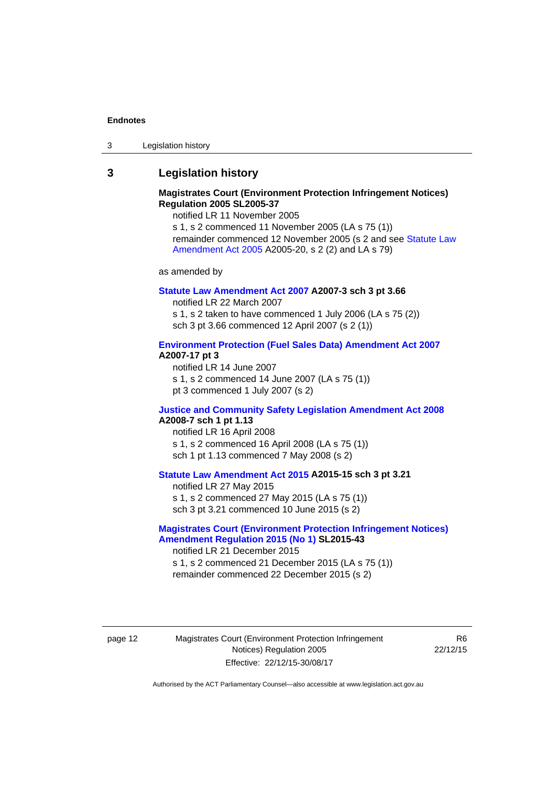| 3 | Legislation history |
|---|---------------------|
|---|---------------------|

### <span id="page-15-0"></span>**3 Legislation history**

### **Magistrates Court (Environment Protection Infringement Notices) Regulation 2005 SL2005-37**

notified LR 11 November 2005

s 1, s 2 commenced 11 November 2005 (LA s 75 (1)) remainder commenced 12 November 2005 (s 2 and see [Statute Law](http://www.legislation.act.gov.au/a/2005-20)  [Amendment Act 2005](http://www.legislation.act.gov.au/a/2005-20) A2005-20, s 2 (2) and LA s 79)

as amended by

### **[Statute Law Amendment Act 2007](http://www.legislation.act.gov.au/a/2007-3) A2007-3 sch 3 pt 3.66**

notified LR 22 March 2007 s 1, s 2 taken to have commenced 1 July 2006 (LA s 75 (2)) sch 3 pt 3.66 commenced 12 April 2007 (s 2 (1))

### **[Environment Protection \(Fuel Sales Data\) Amendment Act 2007](http://www.legislation.act.gov.au/a/2007-17) A2007-17 pt 3**

notified LR 14 June 2007 s 1, s 2 commenced 14 June 2007 (LA s 75 (1)) pt 3 commenced 1 July 2007 (s 2)

### **[Justice and Community Safety Legislation Amendment Act 2008](http://www.legislation.act.gov.au/a/2008-7) A2008-7 sch 1 pt 1.13**

notified LR 16 April 2008 s 1, s 2 commenced 16 April 2008 (LA s 75 (1)) sch 1 pt 1.13 commenced 7 May 2008 (s 2)

### **[Statute Law Amendment Act 2015](http://www.legislation.act.gov.au/a/2015-15) A2015-15 sch 3 pt 3.21**

notified LR 27 May 2015

s 1, s 2 commenced 27 May 2015 (LA s 75 (1)) sch 3 pt 3.21 commenced 10 June 2015 (s 2)

### **[Magistrates Court \(Environment Protection Infringement Notices\)](http://www.legislation.act.gov.au/sl/2015-43)  [Amendment Regulation 2015 \(No 1\)](http://www.legislation.act.gov.au/sl/2015-43) SL2015-43**

notified LR 21 December 2015 s 1, s 2 commenced 21 December 2015 (LA s 75 (1)) remainder commenced 22 December 2015 (s 2)

page 12 Magistrates Court (Environment Protection Infringement Notices) Regulation 2005 Effective: 22/12/15-30/08/17

R6 22/12/15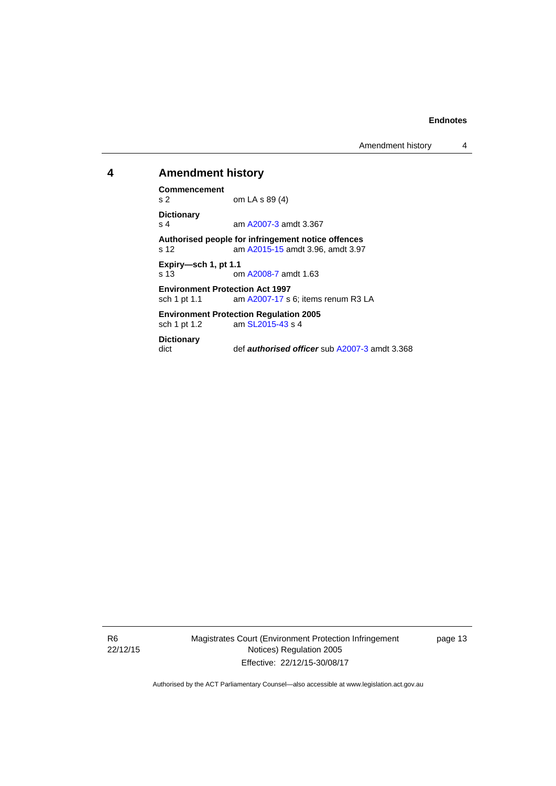Amendment history 4

### <span id="page-16-0"></span>**4 Amendment history**

**Commencement** 

om LA s 89 (4) **Dictionary** 

s 4 **am [A2007-3](http://www.legislation.act.gov.au/a/2007-3) amdt 3.367** 

**Authorised people for infringement notice offences**  s 12 am [A2015-15](http://www.legislation.act.gov.au/a/2015-15) amdt 3.96, amdt 3.97

**Expiry—sch 1, pt 1.1**  s 13 om [A2008-7](http://www.legislation.act.gov.au/a/2008-7) amdt 1.63

**Environment Protection Act 1997**  sch 1 pt 1.1 am [A2007-17](http://www.legislation.act.gov.au/a/2007-17) s 6; items renum R3 LA

**Environment Protection Regulation 2005**  am [SL2015-43](http://www.legislation.act.gov.au/sl/2015-43) s 4

# **Dictionary**

def **authorised officer** sub [A2007-3](http://www.legislation.act.gov.au/a/2007-3) amdt 3.368

R6 22/12/15